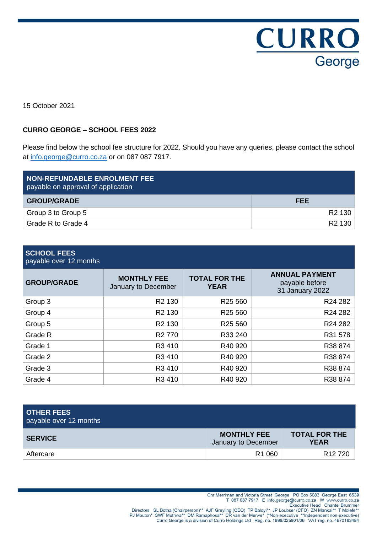**CURRO** George

15 October 2021

# **CURRO GEORGE – SCHOOL FEES 2022**

Please find below the school fee structure for 2022. Should you have any queries, please contact the school at [info.george@curro.co.za](mailto:info.george@curro.co.za) or on 087 087 7917.

| NON-REFUNDABLE ENROLMENT FEE<br>payable on approval of application |                    |
|--------------------------------------------------------------------|--------------------|
| <b>GROUP/GRADE</b>                                                 | <b>FEE</b>         |
| Group 3 to Group 5                                                 | R <sub>2</sub> 130 |
| Grade R to Grade 4                                                 | R <sub>2</sub> 130 |

# **SCHOOL FEES**

payable over 12 months

| <b>GROUP/GRADE</b> | <b>MONTHLY FEE</b><br>January to December | <b>TOTAL FOR THE</b><br><b>YEAR</b> | <b>ANNUAL PAYMENT</b><br>payable before<br>31 January 2022 |  |
|--------------------|-------------------------------------------|-------------------------------------|------------------------------------------------------------|--|
| Group 3            | R <sub>2</sub> 130                        | R <sub>25</sub> 560                 | R24 282                                                    |  |
| Group 4            | R <sub>2</sub> 130                        | R <sub>25</sub> 560                 | R24 282                                                    |  |
| Group 5            | R <sub>2</sub> 130                        | R <sub>25</sub> 560                 | R24 282                                                    |  |
| Grade R            | R <sub>2</sub> 770                        | R33 240                             | R31 578                                                    |  |
| Grade 1            | R3 410                                    | R40 920                             | R38 874                                                    |  |
| Grade 2            | R3 410                                    | R40 920                             | R38 874                                                    |  |
| Grade 3            | R3 410                                    | R40 920                             | R38 874                                                    |  |
| Grade 4            | R3 410                                    | R40 920                             | R38 874                                                    |  |

| <b>OTHER FEES</b><br>payable over 12 months |                                           |                                     |
|---------------------------------------------|-------------------------------------------|-------------------------------------|
| <b>SERVICE</b>                              | <b>MONTHLY FEE</b><br>January to December | <b>TOTAL FOR THE</b><br><b>YEAR</b> |
| Aftercare                                   | R <sub>1</sub> 060                        | R <sub>12</sub> 720                 |

Chr Merriman and Victoria Street George PO Box 5083 George East 6539<br>T 087 087 7917 E info.george@curro.co.za W www.curro.co.za

Directors SL Botha (Chairperson)\*\* AJF Greyling (CEO) TP Baloyi\*\* JP Loubser (CFO) ZN Mankai\*\* T Molefe\*<br>PJ Mouton\* SWF Muthwa\*\* DM Ramaphosa\*\* CR van der Merwe\* (\*Non-executive \*\*Independent non-executive) Curro George is a division of Curro Holdings Ltd Reg. no. 1998/025801/06 VAT reg. no. 4670183484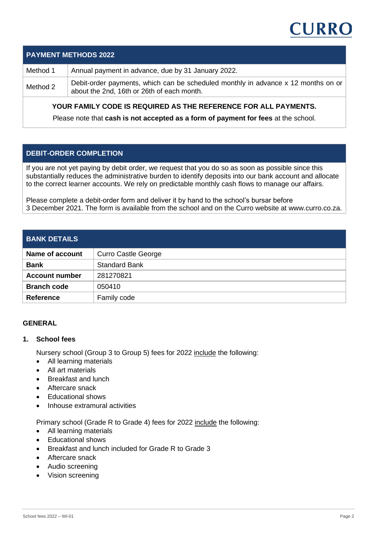

### **PAYMENT METHODS 2022**

Method 1 Annual payment in advance, due by 31 January 2022.

Method 2 Debit-order payments, which can be scheduled monthly in advance x 12 months on or about the 2nd, 16th or 26th of each month.

# **YOUR FAMILY CODE IS REQUIRED AS THE REFERENCE FOR ALL PAYMENTS.**

Please note that **cash is not accepted as a form of payment for fees** at the school.

# **DEBIT-ORDER COMPLETION**

If you are not yet paying by debit order, we request that you do so as soon as possible since this substantially reduces the administrative burden to identify deposits into our bank account and allocate to the correct learner accounts. We rely on predictable monthly cash flows to manage our affairs.

Please complete a debit-order form and deliver it by hand to the school's bursar before 3 December 2021. The form is available from the school and on the Curro website at www.curro.co.za.

#### **BANK DETAILS**

| <b>Name of account</b> | <b>Curro Castle George</b> |
|------------------------|----------------------------|
| <b>Bank</b>            | <b>Standard Bank</b>       |
| <b>Account number</b>  | 281270821                  |
| <b>Branch code</b>     | 050410                     |
| <b>Reference</b>       | Family code                |

### **GENERAL**

#### **1. School fees**

Nursery school (Group 3 to Group 5) fees for 2022 include the following:

- All learning materials
- All art materials
- **Breakfast and lunch**
- Aftercare snack
- Educational shows
- Inhouse extramural activities

Primary school (Grade R to Grade 4) fees for 2022 include the following:

- All learning materials
- Educational shows
- Breakfast and lunch included for Grade R to Grade 3
- Aftercare snack
- Audio screening
- Vision screening